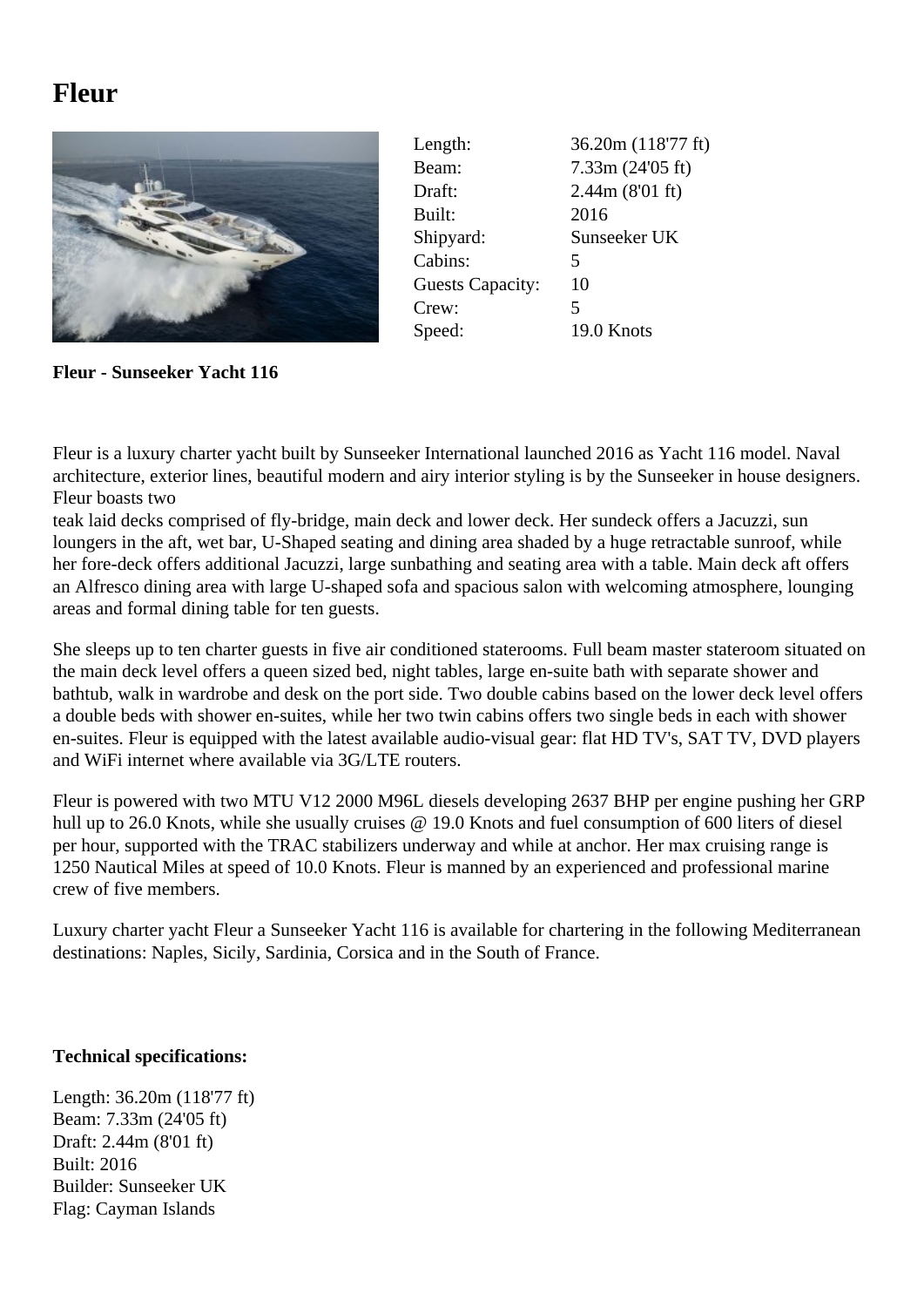## **Fleur**



| Length:                 | 36.20m (118'77 ft) |
|-------------------------|--------------------|
| Beam:                   | 7.33m(24'05 ft)    |
| Draft:                  | 2.44m (8'01 ft)    |
| Built:                  | 2016               |
| Shipyard:               | Sunseeker UK       |
| Cabins:                 | 5                  |
| <b>Guests Capacity:</b> | 10                 |
| Crew:                   | 5                  |
| Speed:                  | 19.0 Knots         |

**Fleur - Sunseeker Yacht 116**

Fleur is a luxury charter yacht built by Sunseeker International launched 2016 as Yacht 116 model. Naval architecture, exterior lines, beautiful modern and airy interior styling is by the Sunseeker in house designers. Fleur boasts two

teak laid decks comprised of fly-bridge, main deck and lower deck. Her sundeck offers a Jacuzzi, sun loungers in the aft, wet bar, U-Shaped seating and dining area shaded by a huge retractable sunroof, while her fore-deck offers additional Jacuzzi, large sunbathing and seating area with a table. Main deck aft offers an Alfresco dining area with large U-shaped sofa and spacious salon with welcoming atmosphere, lounging areas and formal dining table for ten guests.

She sleeps up to ten charter guests in five air conditioned staterooms. Full beam master stateroom situated on the main deck level offers a queen sized bed, night tables, large en-suite bath with separate shower and bathtub, walk in wardrobe and desk on the port side. Two double cabins based on the lower deck level offers a double beds with shower en-suites, while her two twin cabins offers two single beds in each with shower en-suites. Fleur is equipped with the latest available audio-visual gear: flat HD TV's, SAT TV, DVD players and WiFi internet where available via 3G/LTE routers.

Fleur is powered with two MTU V12 2000 M96L diesels developing 2637 BHP per engine pushing her GRP hull up to 26.0 Knots, while she usually cruises @ 19.0 Knots and fuel consumption of 600 liters of diesel per hour, supported with the TRAC stabilizers underway and while at anchor. Her max cruising range is 1250 Nautical Miles at speed of 10.0 Knots. Fleur is manned by an experienced and professional marine crew of five members.

Luxury charter yacht Fleur a Sunseeker Yacht 116 is available for chartering in the following Mediterranean destinations: Naples, Sicily, Sardinia, Corsica and in the South of France.

## **Technical specifications:**

Length: 36.20m (118'77 ft) Beam: 7.33m (24'05 ft) Draft: 2.44m (8'01 ft) Built: 2016 Builder: Sunseeker UK Flag: Cayman Islands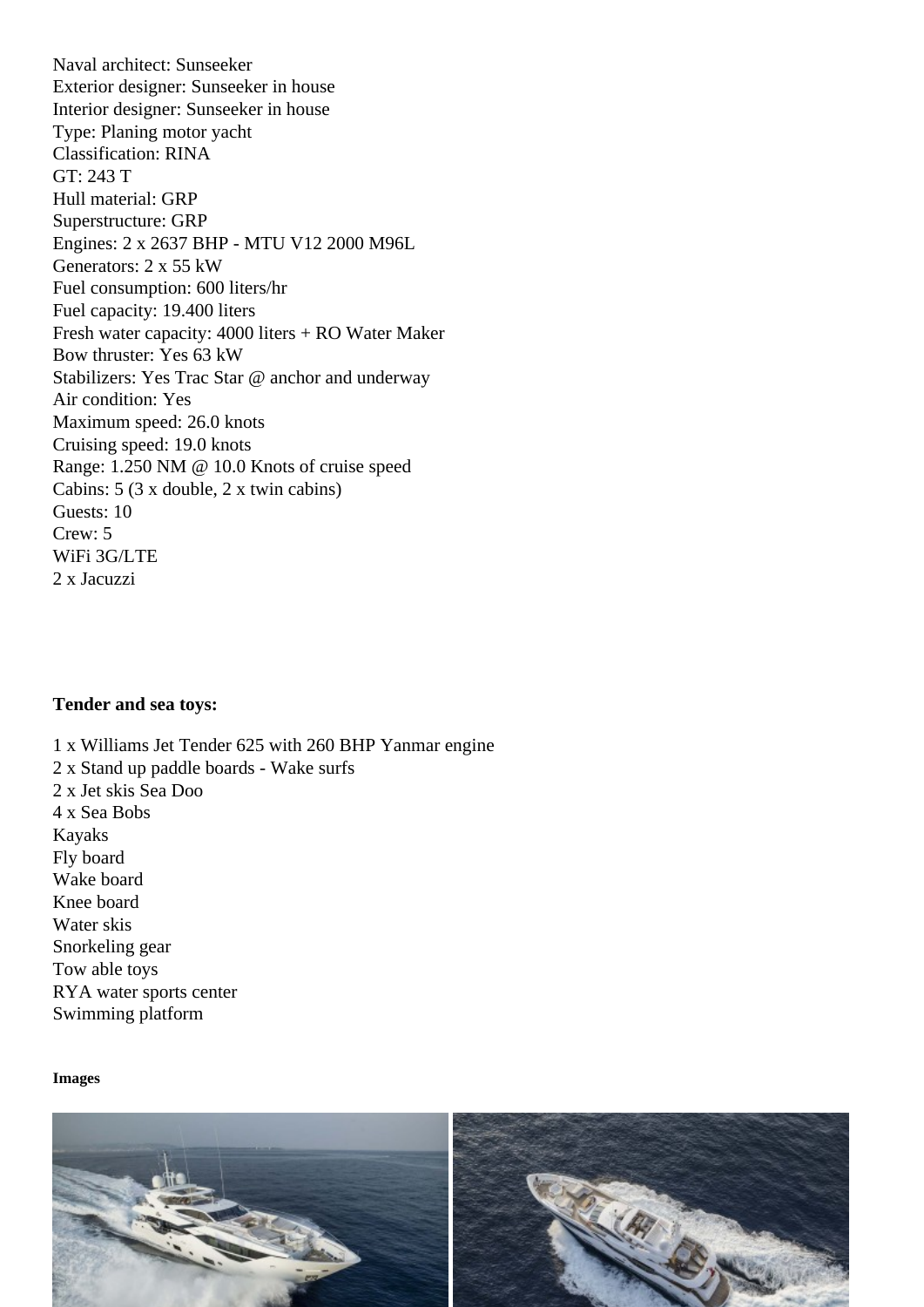Exterior designer: Sunseeker in house Interior designer: Sunseeker in house Type: Planing motor yacht Classification: RINA GT: 243 T Hull material: GRP Superstructure: GRP Engines: 2 x 2637 BHP - MTU V12 2000 M96L Generators: 2 x 55 kW Fuel consumption: 600 liters/hr Fuel capacity: 19.400 liters Fresh water capacity: 4000 liters + RO Water Maker Bow thruster: Yes 63 kW Stabilizers: Yes Trac Star @ anchor and underway Air condition: Yes Maximum speed: 26.0 knots Cruising speed: 19.0 knots Range: 1.250 NM @ 10.0 Knots of cruise speed Cabins: 5 (3 x double, 2 x twin cabins) Guests: 10 Crew: 5 WiFi 3G/LTE 2 x Jacuzzi

Tender and sea toys:

1 x Williams Jet Tender 625 with 260 BHP Yanmar engine 2 x Stand up paddle boards - Wake surfs 2 x Jet skis Sea Doo 4 x Sea Bobs Kayaks Fly board Wake board Knee board Water skis Snorkeling gear Tow able toys RYA water sports center Swimming platform

Images